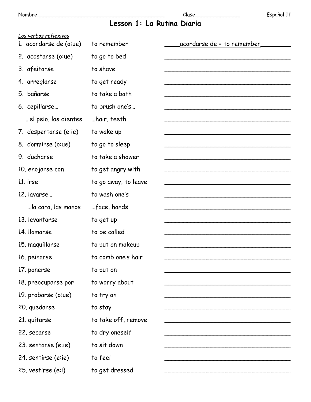# Lesson 1: La Rutina Diaria

| to go to sleep       |                                                                                                                          |
|----------------------|--------------------------------------------------------------------------------------------------------------------------|
| to take a shower     |                                                                                                                          |
| to get angry with    |                                                                                                                          |
| to go away; to leave |                                                                                                                          |
| to wash one's        |                                                                                                                          |
| face, hands          |                                                                                                                          |
| to get up            |                                                                                                                          |
| to be called         |                                                                                                                          |
| to put on makeup     |                                                                                                                          |
| to comb one's hair   |                                                                                                                          |
| to put on            |                                                                                                                          |
| to worry about       |                                                                                                                          |
| to try on            |                                                                                                                          |
| to stay              |                                                                                                                          |
| to take off, remove  |                                                                                                                          |
| to dry oneself       |                                                                                                                          |
| to sit down          |                                                                                                                          |
| to feel              |                                                                                                                          |
| to get dressed       |                                                                                                                          |
|                      | to remember<br>to go to bed<br>to shave<br>to get ready<br>to take a bath<br>to brush one's<br>hair, teeth<br>to wake up |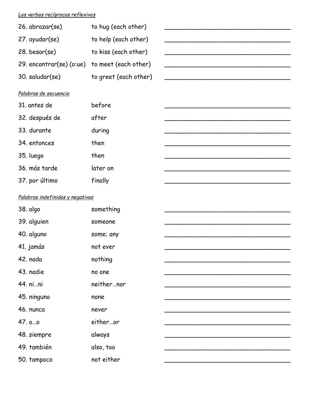## *Los verbos recíprocos reflexivos*

| 26. abrazar(se)                               | to hug (each other)   |  |
|-----------------------------------------------|-----------------------|--|
| 27. ayudar(se)                                | to help (each other)  |  |
| $28.$ besar(se)                               | to kiss (each other)  |  |
| 29. encontrar(se) (o:ue) to meet (each other) |                       |  |
| 30. saludar(se)                               | to greet (each other) |  |

#### *Palabras de secuencia*

| 31. antes de   | before   |  |
|----------------|----------|--|
| 32. después de | after    |  |
| 33. durante    | during   |  |
| 34. entonces   | then     |  |
| 35. luego      | then     |  |
| 36. más tarde  | later on |  |
| 37. por último | finally  |  |

#### *Palabras indefinidas y negativas*

| 38. algo    | something  |  |
|-------------|------------|--|
| 39. alguien | someone    |  |
| 40. alguno  | some; any  |  |
| 41. jamás   | not ever   |  |
| 42. nada    | nothing    |  |
| 43. nadie   | no one     |  |
| 44. nini    | neithernor |  |
| 45. ninguno | none       |  |
| 46. nunca   |            |  |
|             | never      |  |
| 47.0.0      | eitheror   |  |
| 48. siempre | always     |  |
| 49. también | also, too  |  |
| 50. tampoco | not either |  |